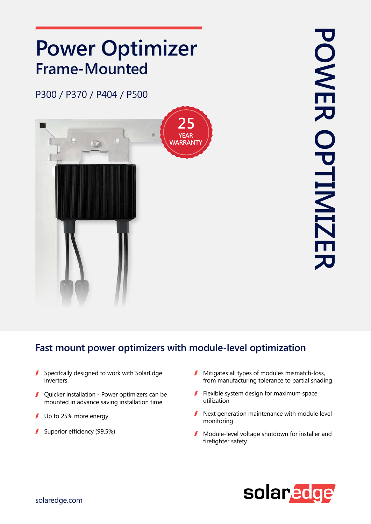## **Power Optimizer Frame-Mounted**

P300 / P370 / P404 / P500



## Fast mount power optimizers with module-level optimization

- $\blacksquare$  Specifcally designed to work with SolarEdge inverters
- $\blacksquare$  Ouicker installation Power optimizers can be mounted in advance saving installation time
- $\blacksquare$  Up to 25% more energy
- Superior efficiency  $(99.5%)$
- $\blacksquare$  Mitigates all types of modules mismatch-loss, from manufacturing tolerance to partial shading
- $\blacksquare$  Flexible system design for maximum space utilization
- Next generation maintenance with module level  $\mathbf{r}$ monitoring
- Module-level voltage shutdown for installer and  $\blacksquare$ firefighter safety